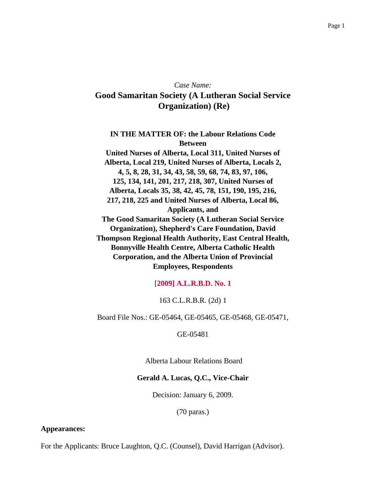# *Case Name:* **Good Samaritan Society (A Lutheran Social Service Organization) (Re)**

**IN THE MATTER OF: the Labour Relations Code Between United Nurses of Alberta, Local 311, United Nurses of Alberta, Local 219, United Nurses of Alberta, Locals 2, 4, 5, 8, 28, 31, 34, 43, 58, 59, 68, 74, 83, 97, 106, 125, 134, 141, 201, 217, 218, 307, United Nurses of Alberta, Locals 35, 38, 42, 45, 78, 151, 190, 195, 216, 217, 218, 225 and United Nurses of Alberta, Local 86, Applicants, and The Good Samaritan Society (A Lutheran Social Service Organization), Shepherd's Care Foundation, David Thompson Regional Health Authority, East Central Health, Bonnyville Health Centre, Alberta Catholic Health Corporation, and the Alberta Union of Provincial Employees, Respondents**

#### [**2009] A.L.R.B.D. No. 1**

#### 163 C.L.R.B.R. (2d) 1

Board File Nos.: GE-05464, GE-05465, GE-05468, GE-05471,

GE-05481

Alberta Labour Relations Board

#### **Gerald A. Lucas, Q.C., Vice-Chair**

Decision: January 6, 2009.

(70 paras.)

#### **Appearances:**

For the Applicants: Bruce Laughton, Q.C. (Counsel), David Harrigan (Advisor).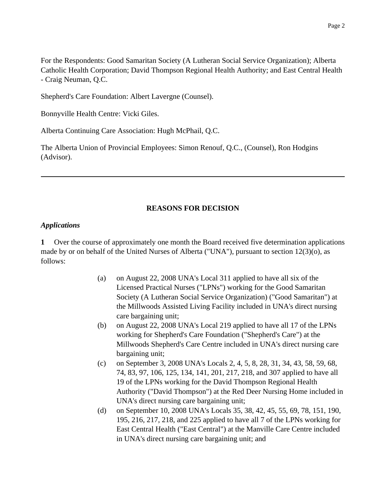For the Respondents: Good Samaritan Society (A Lutheran Social Service Organization); Alberta Catholic Health Corporation; David Thompson Regional Health Authority; and East Central Health - Craig Neuman, Q.C.

Shepherd's Care Foundation: Albert Lavergne (Counsel).

Bonnyville Health Centre: Vicki Giles.

Alberta Continuing Care Association: Hugh McPhail, Q.C.

The Alberta Union of Provincial Employees: Simon Renouf, Q.C., (Counsel), Ron Hodgins (Advisor).

## **REASONS FOR DECISION**

#### *Applications*

**1** Over the course of approximately one month the Board received five determination applications made by or on behalf of the United Nurses of Alberta ("UNA"), pursuant to section 12(3)(o), as follows:

- (a) on August 22, 2008 UNA's Local 311 applied to have all six of the Licensed Practical Nurses ("LPNs") working for the Good Samaritan Society (A Lutheran Social Service Organization) ("Good Samaritan") at the Millwoods Assisted Living Facility included in UNA's direct nursing care bargaining unit;
- (b) on August 22, 2008 UNA's Local 219 applied to have all 17 of the LPNs working for Shepherd's Care Foundation ("Shepherd's Care") at the Millwoods Shepherd's Care Centre included in UNA's direct nursing care bargaining unit;
- (c) on September 3, 2008 UNA's Locals 2, 4, 5, 8, 28, 31, 34, 43, 58, 59, 68, 74, 83, 97, 106, 125, 134, 141, 201, 217, 218, and 307 applied to have all 19 of the LPNs working for the David Thompson Regional Health Authority ("David Thompson") at the Red Deer Nursing Home included in UNA's direct nursing care bargaining unit;
- (d) on September 10, 2008 UNA's Locals 35, 38, 42, 45, 55, 69, 78, 151, 190, 195, 216, 217, 218, and 225 applied to have all 7 of the LPNs working for East Central Health ("East Central") at the Manville Care Centre included in UNA's direct nursing care bargaining unit; and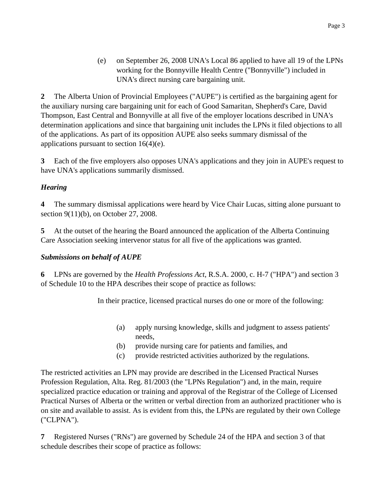(e) on September 26, 2008 UNA's Local 86 applied to have all 19 of the LPNs working for the Bonnyville Health Centre ("Bonnyville") included in UNA's direct nursing care bargaining unit.

**2** The Alberta Union of Provincial Employees ("AUPE") is certified as the bargaining agent for the auxiliary nursing care bargaining unit for each of Good Samaritan, Shepherd's Care, David Thompson, East Central and Bonnyville at all five of the employer locations described in UNA's determination applications and since that bargaining unit includes the LPNs it filed objections to all of the applications. As part of its opposition AUPE also seeks summary dismissal of the applications pursuant to section  $16(4)(e)$ .

**3** Each of the five employers also opposes UNA's applications and they join in AUPE's request to have UNA's applications summarily dismissed.

## *Hearing*

**4** The summary dismissal applications were heard by Vice Chair Lucas, sitting alone pursuant to section 9(11)(b), on October 27, 2008.

**5** At the outset of the hearing the Board announced the application of the Alberta Continuing Care Association seeking intervenor status for all five of the applications was granted.

## *Submissions on behalf of AUPE*

**6** LPNs are governed by the *Health Professions Act*, R.S.A. 2000, c. H-7 ("HPA") and section 3 of Schedule 10 to the HPA describes their scope of practice as follows:

In their practice, licensed practical nurses do one or more of the following:

- (a) apply nursing knowledge, skills and judgment to assess patients' needs,
- (b) provide nursing care for patients and families, and
- (c) provide restricted activities authorized by the regulations.

The restricted activities an LPN may provide are described in the Licensed Practical Nurses Profession Regulation, Alta. Reg. 81/2003 (the "LPNs Regulation") and, in the main, require specialized practice education or training and approval of the Registrar of the College of Licensed Practical Nurses of Alberta or the written or verbal direction from an authorized practitioner who is on site and available to assist. As is evident from this, the LPNs are regulated by their own College ("CLPNA").

**7** Registered Nurses ("RNs") are governed by Schedule 24 of the HPA and section 3 of that schedule describes their scope of practice as follows: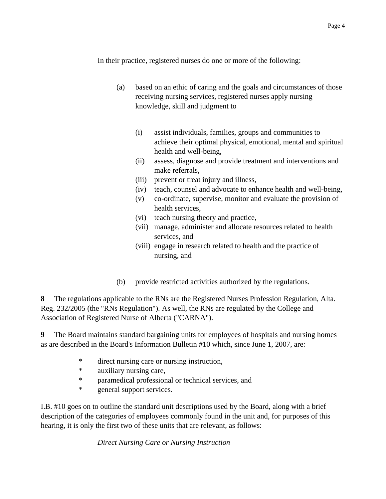In their practice, registered nurses do one or more of the following:

- (a) based on an ethic of caring and the goals and circumstances of those receiving nursing services, registered nurses apply nursing knowledge, skill and judgment to
	- (i) assist individuals, families, groups and communities to achieve their optimal physical, emotional, mental and spiritual health and well-being,
	- (ii) assess, diagnose and provide treatment and interventions and make referrals,
	- (iii) prevent or treat injury and illness,
	- (iv) teach, counsel and advocate to enhance health and well-being,
	- (v) co-ordinate, supervise, monitor and evaluate the provision of health services,
	- (vi) teach nursing theory and practice,
	- (vii) manage, administer and allocate resources related to health services, and
	- (viii) engage in research related to health and the practice of nursing, and
- (b) provide restricted activities authorized by the regulations.

**8** The regulations applicable to the RNs are the Registered Nurses Profession Regulation, Alta. Reg. 232/2005 (the "RNs Regulation"). As well, the RNs are regulated by the College and Association of Registered Nurse of Alberta ("CARNA").

**9** The Board maintains standard bargaining units for employees of hospitals and nursing homes as are described in the Board's Information Bulletin #10 which, since June 1, 2007, are:

- \* direct nursing care or nursing instruction,
- \* auxiliary nursing care,
- \* paramedical professional or technical services, and
- \* general support services.

I.B. #10 goes on to outline the standard unit descriptions used by the Board, along with a brief description of the categories of employees commonly found in the unit and, for purposes of this hearing, it is only the first two of these units that are relevant, as follows:

*Direct Nursing Care or Nursing Instruction*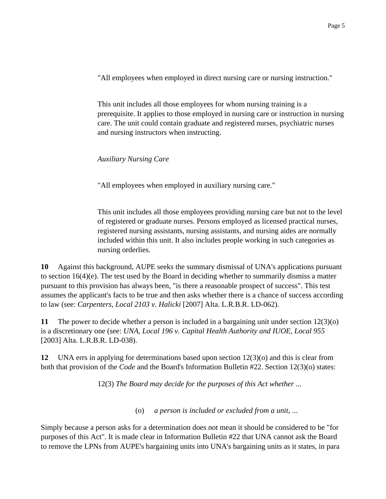"All employees when employed in direct nursing care or nursing instruction."

This unit includes all those employees for whom nursing training is a prerequisite. It applies to those employed in nursing care or instruction in nursing care. The unit could contain graduate and registered nurses, psychiatric nurses and nursing instructors when instructing.

*Auxiliary Nursing Care*

"All employees when employed in auxiliary nursing care."

This unit includes all those employees providing nursing care but not to the level of registered or graduate nurses. Persons employed as licensed practical nurses, registered nursing assistants, nursing assistants, and nursing aides are normally included within this unit. It also includes people working in such categories as nursing orderlies.

**10** Against this background, AUPE seeks the summary dismissal of UNA's applications pursuant to section 16(4)(e). The test used by the Board in deciding whether to summarily dismiss a matter pursuant to this provision has always been, "is there a reasonable prospect of success". This test assumes the applicant's facts to be true and then asks whether there is a chance of success according to law (see: *Carpenters, Local 2103 v. Halicki* [2007] Alta. L.R.B.R. LD-062).

**11** The power to decide whether a person is included in a bargaining unit under section 12(3)(o) is a discretionary one (see: *UNA, Local 196 v. Capital Health Authority and IUOE, Local 955* [2003] Alta. L.R.B.R. LD-038).

**12** UNA errs in applying for determinations based upon section 12(3)(o) and this is clear from both that provision of the *Code* and the Board's Information Bulletin #22. Section 12(3)(o) states:

12(3) *The Board may decide for the purposes of this Act whether ...*

(o) *a person is included or excluded from a unit*, ...

Simply because a person asks for a determination does not mean it should be considered to be "for purposes of this Act". It is made clear in Information Bulletin #22 that UNA cannot ask the Board to remove the LPNs from AUPE's bargaining units into UNA's bargaining units as it states, in para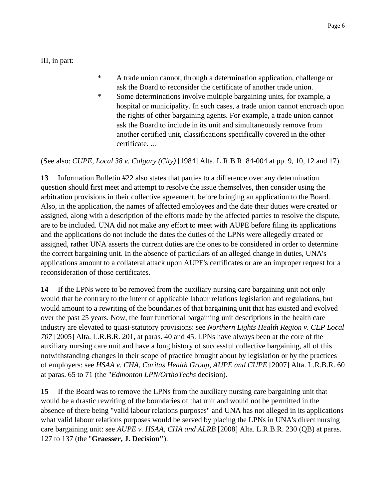III, in part:

- \* A trade union cannot, through a determination application, challenge or ask the Board to reconsider the certificate of another trade union.
- \* Some determinations involve multiple bargaining units, for example, a hospital or municipality. In such cases, a trade union cannot encroach upon the rights of other bargaining agents. For example, a trade union cannot ask the Board to include in its unit and simultaneously remove from another certified unit, classifications specifically covered in the other certificate. ...

(See also: *CUPE, Local 38 v. Calgary (City)* [1984] Alta. L.R.B.R. 84-004 at pp. 9, 10, 12 and 17).

**13** Information Bulletin #22 also states that parties to a difference over any determination question should first meet and attempt to resolve the issue themselves, then consider using the arbitration provisions in their collective agreement, before bringing an application to the Board. Also, in the application, the names of affected employees and the date their duties were created or assigned, along with a description of the efforts made by the affected parties to resolve the dispute, are to be included. UNA did not make any effort to meet with AUPE before filing its applications and the applications do not include the dates the duties of the LPNs were allegedly created or assigned, rather UNA asserts the current duties are the ones to be considered in order to determine the correct bargaining unit. In the absence of particulars of an alleged change in duties, UNA's applications amount to a collateral attack upon AUPE's certificates or are an improper request for a reconsideration of those certificates.

**14** If the LPNs were to be removed from the auxiliary nursing care bargaining unit not only would that be contrary to the intent of applicable labour relations legislation and regulations, but would amount to a rewriting of the boundaries of that bargaining unit that has existed and evolved over the past 25 years. Now, the four functional bargaining unit descriptions in the health care industry are elevated to quasi-statutory provisions: see *Northern Lights Health Region v. CEP Local 707* [2005] Alta. L.R.B.R. 201, at paras. 40 and 45. LPNs have always been at the core of the auxiliary nursing care unit and have a long history of successful collective bargaining, all of this notwithstanding changes in their scope of practice brought about by legislation or by the practices of employers: see *HSAA v. CHA, Caritas Health Group, AUPE and CUPE* [2007] Alta. L.R.B.R. 60 at paras. 65 to 71 (the "*Edmonton LPN/OrthoTechs* decision).

**15** If the Board was to remove the LPNs from the auxiliary nursing care bargaining unit that would be a drastic rewriting of the boundaries of that unit and would not be permitted in the absence of there being "valid labour relations purposes" and UNA has not alleged in its applications what valid labour relations purposes would be served by placing the LPNs in UNA's direct nursing care bargaining unit: see *AUPE v. HSAA, CHA and ALRB* [2008] Alta. L.R.B.R. 230 (QB) at paras. 127 to 137 (the "**Graesser, J. Decision"**).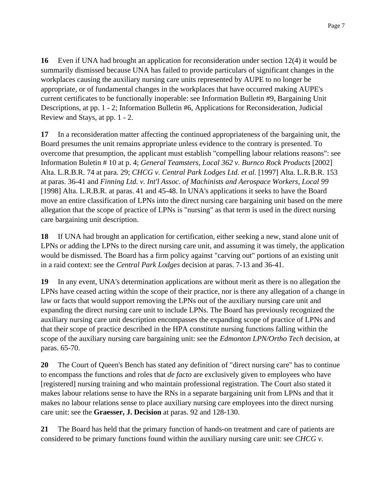**16** Even if UNA had brought an application for reconsideration under section 12(4) it would be summarily dismissed because UNA has failed to provide particulars of significant changes in the workplaces causing the auxiliary nursing care units represented by AUPE to no longer be appropriate, or of fundamental changes in the workplaces that have occurred making AUPE's current certificates to be functionally inoperable: see Information Bulletin #9, Bargaining Unit Descriptions, at pp. 1 - 2; Information Bulletin #6, Applications for Reconsideration, Judicial Review and Stays, at pp. 1 - 2.

**17** In a reconsideration matter affecting the continued appropriateness of the bargaining unit, the Board presumes the unit remains appropriate unless evidence to the contrary is presented. To overcome that presumption, the applicant must establish "compelling labour relations reasons": see Information Buletin # 10 at p. 4; *General Teamsters, Local 362 v. Burnco Rock Products* [2002] Alta. L.R.B.R. 74 at para. 29; *CHCG v. Central Park Lodges Ltd. et al.* [1997] Alta. L.R.B.R. 153 at paras. 36-41 and *Finning Ltd. v. Int'l Assoc. of Machinists and Aerospace Workers, Local 99* [1998] Alta. L.R.B.R. at paras. 41 and 45-48. In UNA's applications it seeks to have the Board move an entire classification of LPNs into the direct nursing care bargaining unit based on the mere allegation that the scope of practice of LPNs is "nursing" as that term is used in the direct nursing care bargaining unit description.

**18** If UNA had brought an application for certification, either seeking a new, stand alone unit of LPNs or adding the LPNs to the direct nursing care unit, and assuming it was timely, the application would be dismissed. The Board has a firm policy against "carving out" portions of an existing unit in a raid context: see the *Central Park Lodges* decision at paras. 7-13 and 36-41.

**19** In any event, UNA's determination applications are without merit as there is no allegation the LPNs have ceased acting within the scope of their practice, nor is there any allegation of a change in law or facts that would support removing the LPNs out of the auxiliary nursing care unit and expanding the direct nursing care unit to include LPNs. The Board has previously recognized the auxiliary nursing care unit description encompasses the expanding scope of practice of LPNs and that their scope of practice described in the HPA constitute nursing functions falling within the scope of the auxiliary nursing care bargaining unit: see the *Edmonton LPN/Ortho Tech* decision, at paras. 65-70.

**20** The Court of Queen's Bench has stated any definition of "direct nursing care" has to continue to encompass the functions and roles that *de facto* are exclusively given to employees who have [registered] nursing training and who maintain professional registration. The Court also stated it makes labour relations sense to have the RNs in a separate bargaining unit from LPNs and that it makes no labour relations sense to place auxiliary nursing care employees into the direct nursing care unit: see the **Graesser, J. Decision** at paras. 92 and 128-130.

**21** The Board has held that the primary function of hands-on treatment and care of patients are considered to be primary functions found within the auxiliary nursing care unit: see *CHCG v.*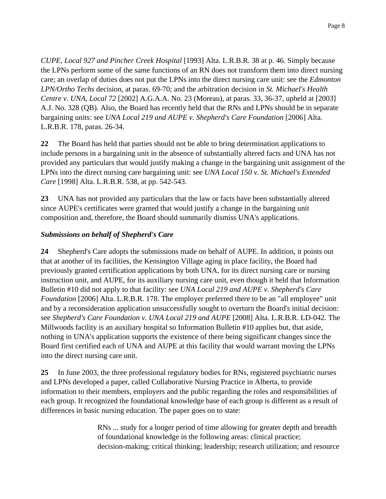*CUPE, Local 927 and Pincher Creek Hospital* [1993] Alta. L.R.B.R. 38 at p. 46. Simply because the LPNs perform some of the same functions of an RN does not transform them into direct nursing care; an overlap of duties does not put the LPNs into the direct nursing care unit: see the *Edmonton LPN/Ortho Techs* decision, at paras. 69-70; and the arbitration decision in *St. Michael's Health Centre v. UNA, Local 72* [2002] A.G.A.A. No. 23 (Moreau), at paras. 33, 36-37, upheld at [2003] A.J. No. 328 (QB). Also, the Board has recently held that the RNs and LPNs should be in separate bargaining units: see *UNA Local 219 and AUPE v. Shepherd's Care Foundation* [2006] Alta. L.R.B.R. 178, paras. 26-34.

**22** The Board has held that parties should not be able to bring determination applications to include persons in a bargaining unit in the absence of substantially altered facts and UNA has not provided any particulars that would justify making a change in the bargaining unit assignment of the LPNs into the direct nursing care bargaining unit: see *UNA Local 150 v. St. Michael's Extended Care* [1998] Alta. L.R.B.R. 538, at pp. 542-543.

**23** UNA has not provided any particulars that the law or facts have been substantially altered since AUPE's certificates were granted that would justify a change in the bargaining unit composition and, therefore, the Board should summarily dismiss UNA's applications.

## *Submissions on behalf of Shepherd's Care*

**24** Shepherd's Care adopts the submissions made on behalf of AUPE. In addition, it points out that at another of its facilities, the Kensington Village aging in place facility, the Board had previously granted certification applications by both UNA, for its direct nursing care or nursing instruction unit, and AUPE, for its auxiliary nursing care unit, even though it held that Information Bulletin #10 did not apply to that facility: see *UNA Local 219 and AUPE v. Shepherd's Care Foundation* [2006] Alta. L.R.B.R. 178. The employer preferred there to be an "all employee" unit and by a reconsideration application unsuccessfully sought to overturn the Board's initial decision: see *Shepherd's Care Foundation v. UNA Local 219 and AUPE* [2008] Alta. L.R.B.R. LD-042. The Millwoods facility is an auxiliary hospital so Information Bulletin #10 applies but, that aside, nothing in UNA's application supports the existence of there being significant changes since the Board first certified each of UNA and AUPE at this facility that would warrant moving the LPNs into the direct nursing care unit.

**25** In June 2003, the three professional regulatory bodies for RNs, registered psychiatric nurses and LPNs developed a paper, called Collaborative Nursing Practice in Alberta, to provide information to their members, employers and the public regarding the roles and responsibilities of each group. It recognized the foundational knowledge base of each group is different as a result of differences in basic nursing education. The paper goes on to state:

> RNs ... study for a longer period of time allowing for greater depth and breadth of foundational knowledge in the following areas: clinical practice; decision-making; critical thinking; leadership; research utilization; and resource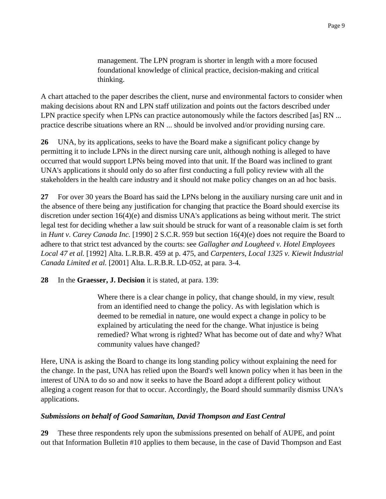management. The LPN program is shorter in length with a more focused foundational knowledge of clinical practice, decision-making and critical thinking.

A chart attached to the paper describes the client, nurse and environmental factors to consider when making decisions about RN and LPN staff utilization and points out the factors described under LPN practice specify when LPNs can practice autonomously while the factors described [as] RN ... practice describe situations where an RN ... should be involved and/or providing nursing care.

**26** UNA, by its applications, seeks to have the Board make a significant policy change by permitting it to include LPNs in the direct nursing care unit, although nothing is alleged to have occurred that would support LPNs being moved into that unit. If the Board was inclined to grant UNA's applications it should only do so after first conducting a full policy review with all the stakeholders in the health care industry and it should not make policy changes on an ad hoc basis.

**27** For over 30 years the Board has said the LPNs belong in the auxiliary nursing care unit and in the absence of there being any justification for changing that practice the Board should exercise its discretion under section 16(4)(e) and dismiss UNA's applications as being without merit. The strict legal test for deciding whether a law suit should be struck for want of a reasonable claim is set forth in *Hunt v. Carey Canada Inc.* [1990] 2 S.C.R. 959 but section 16(4)(e) does not require the Board to adhere to that strict test advanced by the courts: see *Gallagher and Lougheed v. Hotel Employees Local 47 et al.* [1992] Alta. L.R.B.R. 459 at p. 475, and *Carpenters, Local 1325 v. Kiewit Industrial Canada Limited et al.* [2001] Alta. L.R.B.R. LD-052, at para. 3-4.

**28** In the **Graesser, J. Decision** it is stated, at para. 139:

Where there is a clear change in policy, that change should, in my view, result from an identified need to change the policy. As with legislation which is deemed to be remedial in nature, one would expect a change in policy to be explained by articulating the need for the change. What injustice is being remedied? What wrong is righted? What has become out of date and why? What community values have changed?

Here, UNA is asking the Board to change its long standing policy without explaining the need for the change. In the past, UNA has relied upon the Board's well known policy when it has been in the interest of UNA to do so and now it seeks to have the Board adopt a different policy without alleging a cogent reason for that to occur. Accordingly, the Board should summarily dismiss UNA's applications.

## *Submissions on behalf of Good Samaritan, David Thompson and East Central*

**29** These three respondents rely upon the submissions presented on behalf of AUPE, and point out that Information Bulletin #10 applies to them because, in the case of David Thompson and East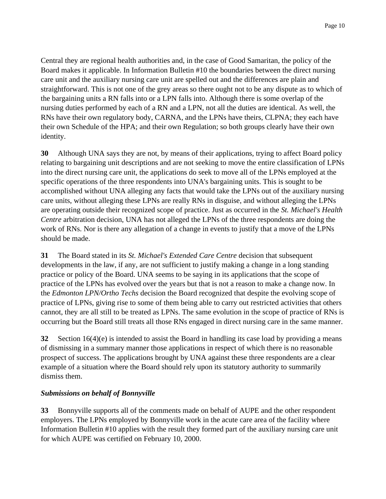Central they are regional health authorities and, in the case of Good Samaritan, the policy of the Board makes it applicable. In Information Bulletin #10 the boundaries between the direct nursing care unit and the auxiliary nursing care unit are spelled out and the differences are plain and straightforward. This is not one of the grey areas so there ought not to be any dispute as to which of the bargaining units a RN falls into or a LPN falls into. Although there is some overlap of the nursing duties performed by each of a RN and a LPN, not all the duties are identical. As well, the RNs have their own regulatory body, CARNA, and the LPNs have theirs, CLPNA; they each have their own Schedule of the HPA; and their own Regulation; so both groups clearly have their own identity.

**30** Although UNA says they are not, by means of their applications, trying to affect Board policy relating to bargaining unit descriptions and are not seeking to move the entire classification of LPNs into the direct nursing care unit, the applications do seek to move all of the LPNs employed at the specific operations of the three respondents into UNA's bargaining units. This is sought to be accomplished without UNA alleging any facts that would take the LPNs out of the auxiliary nursing care units, without alleging these LPNs are really RNs in disguise, and without alleging the LPNs are operating outside their recognized scope of practice. Just as occurred in the *St. Michael's Health Centre* arbitration decision, UNA has not alleged the LPNs of the three respondents are doing the work of RNs. Nor is there any allegation of a change in events to justify that a move of the LPNs should be made.

**31** The Board stated in its *St. Michael's Extended Care Centre* decision that subsequent developments in the law, if any, are not sufficient to justify making a change in a long standing practice or policy of the Board. UNA seems to be saying in its applications that the scope of practice of the LPNs has evolved over the years but that is not a reason to make a change now. In the *Edmonton LPN/Ortho Techs* decision the Board recognized that despite the evolving scope of practice of LPNs, giving rise to some of them being able to carry out restricted activities that others cannot, they are all still to be treated as LPNs. The same evolution in the scope of practice of RNs is occurring but the Board still treats all those RNs engaged in direct nursing care in the same manner.

**32** Section 16(4)(e) is intended to assist the Board in handling its case load by providing a means of dismissing in a summary manner those applications in respect of which there is no reasonable prospect of success. The applications brought by UNA against these three respondents are a clear example of a situation where the Board should rely upon its statutory authority to summarily dismiss them.

## *Submissions on behalf of Bonnyville*

**33** Bonnyville supports all of the comments made on behalf of AUPE and the other respondent employers. The LPNs employed by Bonnyville work in the acute care area of the facility where Information Bulletin #10 applies with the result they formed part of the auxiliary nursing care unit for which AUPE was certified on February 10, 2000.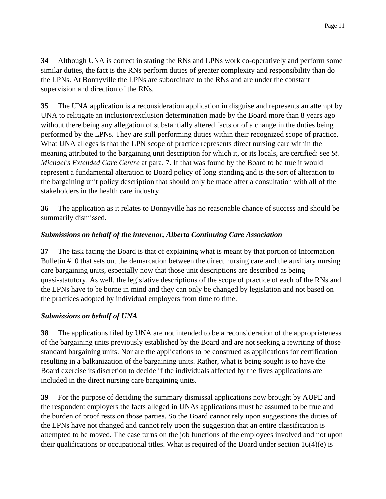**34** Although UNA is correct in stating the RNs and LPNs work co-operatively and perform some similar duties, the fact is the RNs perform duties of greater complexity and responsibility than do the LPNs. At Bonnyville the LPNs are subordinate to the RNs and are under the constant supervision and direction of the RNs.

**35** The UNA application is a reconsideration application in disguise and represents an attempt by UNA to relitigate an inclusion/exclusion determination made by the Board more than 8 years ago without there being any allegation of substantially altered facts or of a change in the duties being performed by the LPNs. They are still performing duties within their recognized scope of practice. What UNA alleges is that the LPN scope of practice represents direct nursing care within the meaning attributed to the bargaining unit description for which it, or its locals, are certified: see *St. Michael's Extended Care Centre* at para. 7. If that was found by the Board to be true it would represent a fundamental alteration to Board policy of long standing and is the sort of alteration to the bargaining unit policy description that should only be made after a consultation with all of the stakeholders in the health care industry.

**36** The application as it relates to Bonnyville has no reasonable chance of success and should be summarily dismissed.

## *Submissions on behalf of the intevenor, Alberta Continuing Care Association*

**37** The task facing the Board is that of explaining what is meant by that portion of Information Bulletin #10 that sets out the demarcation between the direct nursing care and the auxiliary nursing care bargaining units, especially now that those unit descriptions are described as being quasi-statutory. As well, the legislative descriptions of the scope of practice of each of the RNs and the LPNs have to be borne in mind and they can only be changed by legislation and not based on the practices adopted by individual employers from time to time.

## *Submissions on behalf of UNA*

**38** The applications filed by UNA are not intended to be a reconsideration of the appropriateness of the bargaining units previously established by the Board and are not seeking a rewriting of those standard bargaining units. Nor are the applications to be construed as applications for certification resulting in a balkanization of the bargaining units. Rather, what is being sought is to have the Board exercise its discretion to decide if the individuals affected by the fives applications are included in the direct nursing care bargaining units.

**39** For the purpose of deciding the summary dismissal applications now brought by AUPE and the respondent employers the facts alleged in UNAs applications must be assumed to be true and the burden of proof rests on those parties. So the Board cannot rely upon suggestions the duties of the LPNs have not changed and cannot rely upon the suggestion that an entire classification is attempted to be moved. The case turns on the job functions of the employees involved and not upon their qualifications or occupational titles. What is required of the Board under section  $16(4)(e)$  is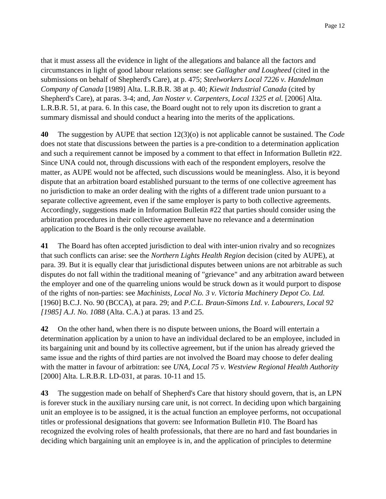that it must assess all the evidence in light of the allegations and balance all the factors and circumstances in light of good labour relations sense: see *Gallagher and Lougheed* (cited in the submissions on behalf of Shepherd's Care), at p. 475; *Steelworkers Local 7226 v. Handelman Company of Canada* [1989] Alta. L.R.B.R. 38 at p. 40; *Kiewit Industrial Canada* (cited by Shepherd's Care), at paras. 3-4; and, *Jan Noster v. Carpenters, Local 1325 et al.* [2006] Alta. L.R.B.R. 51, at para. 6. In this case, the Board ought not to rely upon its discretion to grant a summary dismissal and should conduct a hearing into the merits of the applications.

**40** The suggestion by AUPE that section 12(3)(o) is not applicable cannot be sustained. The *Code* does not state that discussions between the parties is a pre-condition to a determination application and such a requirement cannot be imposed by a comment to that effect in Information Bulletin #22. Since UNA could not, through discussions with each of the respondent employers, resolve the matter, as AUPE would not be affected, such discussions would be meaningless. Also, it is beyond dispute that an arbitration board established pursuant to the terms of one collective agreement has no jurisdiction to make an order dealing with the rights of a different trade union pursuant to a separate collective agreement, even if the same employer is party to both collective agreements. Accordingly, suggestions made in Information Bulletin #22 that parties should consider using the arbitration procedures in their collective agreement have no relevance and a determination application to the Board is the only recourse available.

**41** The Board has often accepted jurisdiction to deal with inter-union rivalry and so recognizes that such conflicts can arise: see the *Northern Lights Health Region* decision (cited by AUPE), at para. 39. But it is equally clear that jurisdictional disputes between unions are not arbitrable as such disputes do not fall within the traditional meaning of "grievance" and any arbitration award between the employer and one of the quarreling unions would be struck down as it would purport to dispose of the rights of non-parties: see *Machinists, Local No. 3 v. Victoria Machinery Depot Co. Ltd.* [1960] B.C.J. No. 90 (BCCA), at para. 29; and *P.C.L. Braun-Simons Ltd. v. Labourers, Local 92 [1985] A.J. No. 1088* (Alta. C.A.) at paras. 13 and 25.

**42** On the other hand, when there is no dispute between unions, the Board will entertain a determination application by a union to have an individual declared to be an employee, included in its bargaining unit and bound by its collective agreement, but if the union has already grieved the same issue and the rights of third parties are not involved the Board may choose to defer dealing with the matter in favour of arbitration: see *UNA, Local 75 v. Westview Regional Health Authority* [2000] Alta. L.R.B.R. LD-031, at paras. 10-11 and 15.

**43** The suggestion made on behalf of Shepherd's Care that history should govern, that is, an LPN is forever stuck in the auxiliary nursing care unit, is not correct. In deciding upon which bargaining unit an employee is to be assigned, it is the actual function an employee performs, not occupational titles or professional designations that govern: see Information Bulletin #10. The Board has recognized the evolving roles of health professionals, that there are no hard and fast boundaries in deciding which bargaining unit an employee is in, and the application of principles to determine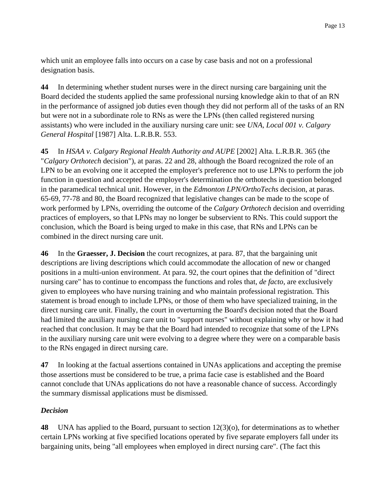which unit an employee falls into occurs on a case by case basis and not on a professional designation basis.

**44** In determining whether student nurses were in the direct nursing care bargaining unit the Board decided the students applied the same professional nursing knowledge akin to that of an RN in the performance of assigned job duties even though they did not perform all of the tasks of an RN but were not in a subordinate role to RNs as were the LPNs (then called registered nursing assistants) who were included in the auxiliary nursing care unit: see *UNA, Local 001 v. Calgary General Hospital* [1987] Alta. L.R.B.R. 553.

**45** In *HSAA v. Calgary Regional Health Authority and AUPE* [2002] Alta. L.R.B.R. 365 (the "*Calgary Orthotech* decision"), at paras. 22 and 28, although the Board recognized the role of an LPN to be an evolving one it accepted the employer's preference not to use LPNs to perform the job function in question and accepted the employer's determination the orthotechs in question belonged in the paramedical technical unit. However, in the *Edmonton LPN/OrthoTechs* decision, at paras. 65-69, 77-78 and 80, the Board recognized that legislative changes can be made to the scope of work performed by LPNs, overriding the outcome of the *Calgary Orthotech* decision and overriding practices of employers, so that LPNs may no longer be subservient to RNs. This could support the conclusion, which the Board is being urged to make in this case, that RNs and LPNs can be combined in the direct nursing care unit.

**46** In the **Graesser, J. Decision** the court recognizes, at para. 87, that the bargaining unit descriptions are living descriptions which could accommodate the allocation of new or changed positions in a multi-union environment. At para. 92, the court opines that the definition of "direct nursing care" has to continue to encompass the functions and roles that, *de facto*, are exclusively given to employees who have nursing training and who maintain professional registration. This statement is broad enough to include LPNs, or those of them who have specialized training, in the direct nursing care unit. Finally, the court in overturning the Board's decision noted that the Board had limited the auxiliary nursing care unit to "support nurses" without explaining why or how it had reached that conclusion. It may be that the Board had intended to recognize that some of the LPNs in the auxiliary nursing care unit were evolving to a degree where they were on a comparable basis to the RNs engaged in direct nursing care.

**47** In looking at the factual assertions contained in UNAs applications and accepting the premise those assertions must be considered to be true, a prima facie case is established and the Board cannot conclude that UNAs applications do not have a reasonable chance of success. Accordingly the summary dismissal applications must be dismissed.

## *Decision*

**48** UNA has applied to the Board, pursuant to section 12(3)(o), for determinations as to whether certain LPNs working at five specified locations operated by five separate employers fall under its bargaining units, being "all employees when employed in direct nursing care". (The fact this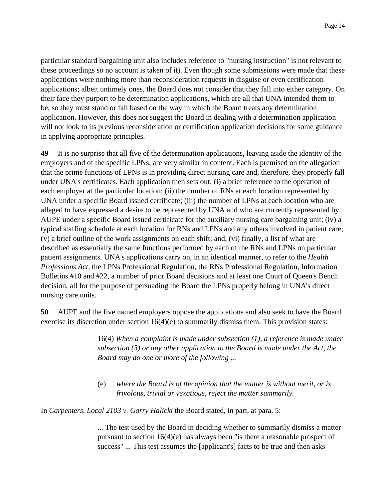particular standard bargaining unit also includes reference to "nursing instruction" is not relevant to these proceedings so no account is taken of it). Even though some submissions were made that these applications were nothing more than reconsideration requests in disguise or even certification applications; albeit untimely ones, the Board does not consider that they fall into either category. On their face they purport to be determination applications, which are all that UNA intended them to be, so they must stand or fall based on the way in which the Board treats any determination application. However, this does not suggest the Board in dealing with a determination application will not look to its previous reconsideration or certification application decisions for some guidance in applying appropriate principles.

**49** It is no surprise that all five of the determination applications, leaving aside the identity of the employers and of the specific LPNs, are very similar in content. Each is premised on the allegation that the prime functions of LPNs is in providing direct nursing care and, therefore, they properly fall under UNA's certificates. Each application then sets out: (i) a brief reference to the operation of each employer at the particular location; (ii) the number of RNs at each location represented by UNA under a specific Board issued certificate; (iii) the number of LPNs at each location who are alleged to have expressed a desire to be represented by UNA and who are currently represented by AUPE under a specific Board issued certificate for the auxiliary nursing care bargaining unit; (iv) a typical staffing schedule at each location for RNs and LPNs and any others involved in patient care; (v) a brief outline of the work assignments on each shift; and, (vi) finally, a list of what are described as essentially the same functions performed by each of the RNs and LPNs on particular patient assignments. UNA's applications carry on, in an identical manner, to refer to the *Health Professions Act,* the LPNs Professional Regulation, the RNs Professional Regulation, Information Bulletins #10 and #22, a number of prior Board decisions and at least one Court of Queen's Bench decision, all for the purpose of persuading the Board the LPNs properly belong in UNA's direct nursing care units.

**50** AUPE and the five named employers oppose the applications and also seek to have the Board exercise its discretion under section 16(4)(e) to summarily dismiss them. This provision states:

> 16(4) *When a complaint is made under subsection (1), a reference is made under subsection (3) or any other application to the Board is made under the Act, the Board may do one or more of the following ...*

(e) *where the Board is of the opinion that the matter is without merit, or is frivolous, trivial or vexatious, reject the matter summarily.*

In *Carpenters, Local 2103 v. Garry Halicki* the Board stated, in part, at para. 5:

... The test used by the Board in deciding whether to summarily dismiss a matter pursuant to section 16(4)(e) has always been "is there a reasonable prospect of success" ... This test assumes the [applicant's] facts to be true and then asks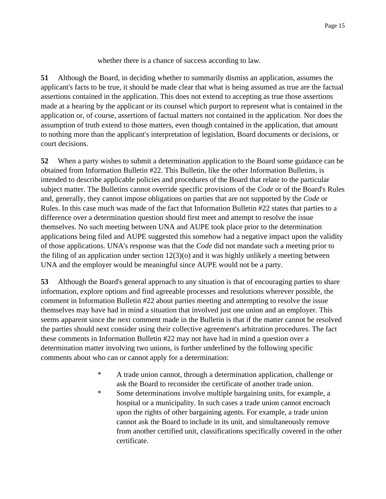whether there is a chance of success according to law.

**51** Although the Board, in deciding whether to summarily dismiss an application, assumes the applicant's facts to be true, it should be made clear that what is being assumed as true are the factual assertions contained in the application. This does not extend to accepting as true those assertions made at a hearing by the applicant or its counsel which purport to represent what is contained in the application or, of course, assertions of factual matters not contained in the application. Nor does the assumption of truth extend to those matters, even though contained in the application, that amount to nothing more than the applicant's interpretation of legislation, Board documents or decisions, or court decisions.

**52** When a party wishes to submit a determination application to the Board some guidance can be obtained from Information Bulletin #22. This Bulletin, like the other Information Bulletins, is intended to describe applicable policies and procedures of the Board that relate to the particular subject matter. The Bulletins cannot override specific provisions of the *Code* or of the Board's Rules and, generally, they cannot impose obligations on parties that are not supported by the *Code* or Rules. In this case much was made of the fact that Information Bulletin #22 states that parties to a difference over a determination question should first meet and attempt to resolve the issue themselves. No such meeting between UNA and AUPE took place prior to the determination applications being filed and AUPE suggested this somehow had a negative impact upon the validity of those applications. UNA's response was that the *Code* did not mandate such a meeting prior to the filing of an application under section  $12(3)(o)$  and it was highly unlikely a meeting between UNA and the employer would be meaningful since AUPE would not be a party.

**53** Although the Board's general approach to any situation is that of encouraging parties to share information, explore options and find agreeable processes and resolutions wherever possible, the comment in Information Bulletin #22 about parties meeting and attempting to resolve the issue themselves may have had in mind a situation that involved just one union and an employer. This seems apparent since the next comment made in the Bulletin is that if the matter cannot be resolved the parties should next consider using their collective agreement's arbitration procedures. The fact these comments in Information Bulletin #22 may not have had in mind a question over a determination matter involving two unions, is further underlined by the following specific comments about who can or cannot apply for a determination:

- \* A trade union cannot, through a determination application, challenge or ask the Board to reconsider the certificate of another trade union.
- \* Some determinations involve multiple bargaining units, for example, a hospital or a municipality. In such cases a trade union cannot encroach upon the rights of other bargaining agents. For example, a trade union cannot ask the Board to include in its unit, and simultaneously remove from another certified unit, classifications specifically covered in the other certificate.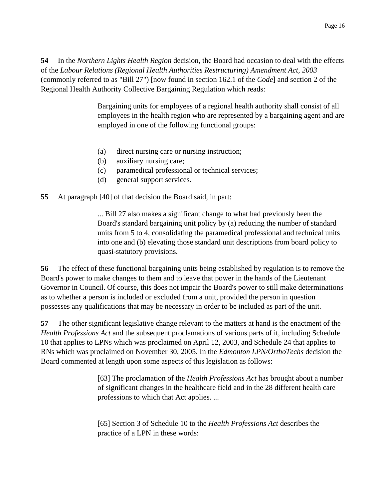**54** In the *Northern Lights Health Region* decision, the Board had occasion to deal with the effects of the *Labour Relations (Regional Health Authorities Restructuring) Amendment Act, 2003* (commonly referred to as "Bill 27") [now found in section 162.1 of the *Code*] and section 2 of the Regional Health Authority Collective Bargaining Regulation which reads:

> Bargaining units for employees of a regional health authority shall consist of all employees in the health region who are represented by a bargaining agent and are employed in one of the following functional groups:

- (a) direct nursing care or nursing instruction;
- (b) auxiliary nursing care;
- (c) paramedical professional or technical services;
- (d) general support services.

### **55** At paragraph [40] of that decision the Board said, in part:

... Bill 27 also makes a significant change to what had previously been the Board's standard bargaining unit policy by (a) reducing the number of standard units from 5 to 4, consolidating the paramedical professional and technical units into one and (b) elevating those standard unit descriptions from board policy to quasi-statutory provisions.

**56** The effect of these functional bargaining units being established by regulation is to remove the Board's power to make changes to them and to leave that power in the hands of the Lieutenant Governor in Council. Of course, this does not impair the Board's power to still make determinations as to whether a person is included or excluded from a unit, provided the person in question possesses any qualifications that may be necessary in order to be included as part of the unit.

**57** The other significant legislative change relevant to the matters at hand is the enactment of the *Health Professions Act* and the subsequent proclamations of various parts of it, including Schedule 10 that applies to LPNs which was proclaimed on April 12, 2003, and Schedule 24 that applies to RNs which was proclaimed on November 30, 2005. In the *Edmonton LPN/OrthoTechs* decision the Board commented at length upon some aspects of this legislation as follows:

> [63] The proclamation of the *Health Professions Act* has brought about a number of significant changes in the healthcare field and in the 28 different health care professions to which that Act applies. ...

[65] Section 3 of Schedule 10 to the *Health Professions Act* describes the practice of a LPN in these words: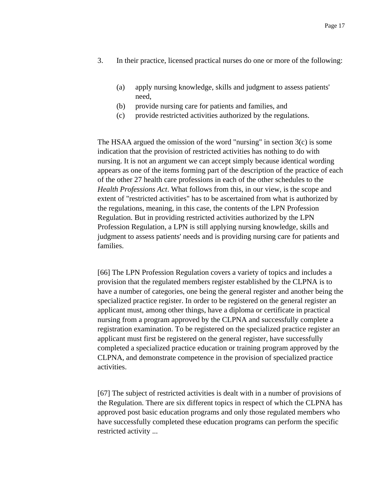- 3. In their practice, licensed practical nurses do one or more of the following:
	- (a) apply nursing knowledge, skills and judgment to assess patients' need,
	- (b) provide nursing care for patients and families, and
	- (c) provide restricted activities authorized by the regulations.

The HSAA argued the omission of the word "nursing" in section 3(c) is some indication that the provision of restricted activities has nothing to do with nursing. It is not an argument we can accept simply because identical wording appears as one of the items forming part of the description of the practice of each of the other 27 health care professions in each of the other schedules to the *Health Professions Act*. What follows from this, in our view, is the scope and extent of "restricted activities" has to be ascertained from what is authorized by the regulations, meaning, in this case, the contents of the LPN Profession Regulation. But in providing restricted activities authorized by the LPN Profession Regulation, a LPN is still applying nursing knowledge, skills and judgment to assess patients' needs and is providing nursing care for patients and families.

[66] The LPN Profession Regulation covers a variety of topics and includes a provision that the regulated members register established by the CLPNA is to have a number of categories, one being the general register and another being the specialized practice register. In order to be registered on the general register an applicant must, among other things, have a diploma or certificate in practical nursing from a program approved by the CLPNA and successfully complete a registration examination. To be registered on the specialized practice register an applicant must first be registered on the general register, have successfully completed a specialized practice education or training program approved by the CLPNA, and demonstrate competence in the provision of specialized practice activities.

[67] The subject of restricted activities is dealt with in a number of provisions of the Regulation. There are six different topics in respect of which the CLPNA has approved post basic education programs and only those regulated members who have successfully completed these education programs can perform the specific restricted activity ...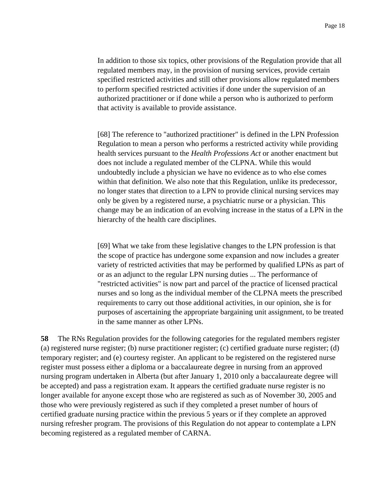In addition to those six topics, other provisions of the Regulation provide that all regulated members may, in the provision of nursing services, provide certain specified restricted activities and still other provisions allow regulated members to perform specified restricted activities if done under the supervision of an authorized practitioner or if done while a person who is authorized to perform that activity is available to provide assistance.

[68] The reference to "authorized practitioner" is defined in the LPN Profession Regulation to mean a person who performs a restricted activity while providing health services pursuant to the *Health Professions Act* or another enactment but does not include a regulated member of the CLPNA. While this would undoubtedly include a physician we have no evidence as to who else comes within that definition. We also note that this Regulation, unlike its predecessor, no longer states that direction to a LPN to provide clinical nursing services may only be given by a registered nurse, a psychiatric nurse or a physician. This change may be an indication of an evolving increase in the status of a LPN in the hierarchy of the health care disciplines.

[69] What we take from these legislative changes to the LPN profession is that the scope of practice has undergone some expansion and now includes a greater variety of restricted activities that may be performed by qualified LPNs as part of or as an adjunct to the regular LPN nursing duties ... The performance of "restricted activities" is now part and parcel of the practice of licensed practical nurses and so long as the individual member of the CLPNA meets the prescribed requirements to carry out those additional activities, in our opinion, she is for purposes of ascertaining the appropriate bargaining unit assignment, to be treated in the same manner as other LPNs.

**58** The RNs Regulation provides for the following categories for the regulated members register (a) registered nurse register; (b) nurse practitioner register; (c) certified graduate nurse register; (d) temporary register; and (e) courtesy register. An applicant to be registered on the registered nurse register must possess either a diploma or a baccalaureate degree in nursing from an approved nursing program undertaken in Alberta (but after January 1, 2010 only a baccalaureate degree will be accepted) and pass a registration exam. It appears the certified graduate nurse register is no longer available for anyone except those who are registered as such as of November 30, 2005 and those who were previously registered as such if they completed a preset number of hours of certified graduate nursing practice within the previous 5 years or if they complete an approved nursing refresher program. The provisions of this Regulation do not appear to contemplate a LPN becoming registered as a regulated member of CARNA.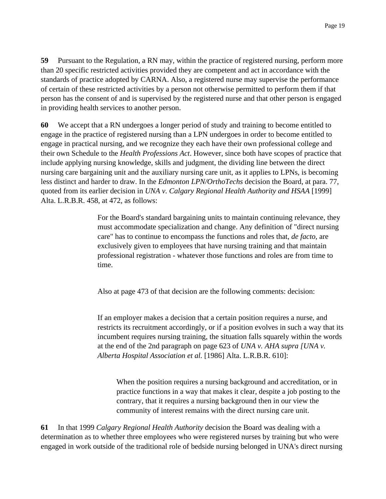**59** Pursuant to the Regulation, a RN may, within the practice of registered nursing, perform more than 20 specific restricted activities provided they are competent and act in accordance with the standards of practice adopted by CARNA. Also, a registered nurse may supervise the performance of certain of these restricted activities by a person not otherwise permitted to perform them if that person has the consent of and is supervised by the registered nurse and that other person is engaged in providing health services to another person.

**60** We accept that a RN undergoes a longer period of study and training to become entitled to engage in the practice of registered nursing than a LPN undergoes in order to become entitled to engage in practical nursing, and we recognize they each have their own professional college and their own Schedule to the *Health Professions Act*. However, since both have scopes of practice that include applying nursing knowledge, skills and judgment, the dividing line between the direct nursing care bargaining unit and the auxiliary nursing care unit, as it applies to LPNs, is becoming less distinct and harder to draw. In the *Edmonton LPN/OrthoTechs* decision the Board, at para. 77, quoted from its earlier decision in *UNA v. Calgary Regional Health Authority and HSAA* [1999] Alta. L.R.B.R. 458, at 472, as follows:

> For the Board's standard bargaining units to maintain continuing relevance, they must accommodate specialization and change. Any definition of "direct nursing care" has to continue to encompass the functions and roles that, *de facto*, are exclusively given to employees that have nursing training and that maintain professional registration - whatever those functions and roles are from time to time.

Also at page 473 of that decision are the following comments: decision:

If an employer makes a decision that a certain position requires a nurse, and restricts its recruitment accordingly, or if a position evolves in such a way that its incumbent requires nursing training, the situation falls squarely within the words at the end of the 2nd paragraph on page 623 of *UNA v. AHA supra [UNA v. Alberta Hospital Association et al.* [1986] Alta. L.R.B.R. 610]:

When the position requires a nursing background and accreditation, or in practice functions in a way that makes it clear, despite a job posting to the contrary, that it requires a nursing background then in our view the community of interest remains with the direct nursing care unit.

**61** In that 1999 *Calgary Regional Health Authority* decision the Board was dealing with a determination as to whether three employees who were registered nurses by training but who were engaged in work outside of the traditional role of bedside nursing belonged in UNA's direct nursing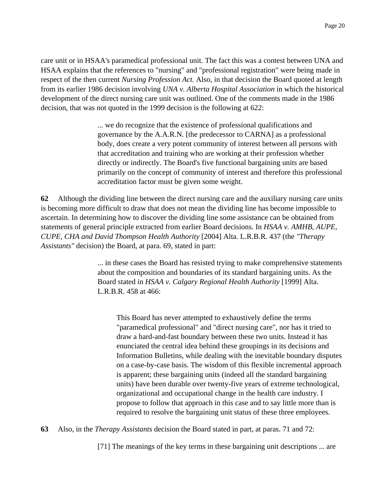care unit or in HSAA's paramedical professional unit. The fact this was a contest between UNA and HSAA explains that the references to "nursing" and "professional registration" were being made in respect of the then current *Nursing Profession Act.* Also, in that decision the Board quoted at length from its earlier 1986 decision involving *UNA v. Alberta Hospital Association* in which the historical development of the direct nursing care unit was outlined. One of the comments made in the 1986 decision, that was not quoted in the 1999 decision is the following at 622:

> ... we do recognize that the existence of professional qualifications and governance by the A.A.R.N. [the predecessor to CARNA] as a professional body, does create a very potent community of interest between all persons with that accreditation and training who are working at their profession whether directly or indirectly. The Board's five functional bargaining units are based primarily on the concept of community of interest and therefore this professional accreditation factor must be given some weight.

**62** Although the dividing line between the direct nursing care and the auxiliary nursing care units is becoming more difficult to draw that does not mean the dividing line has become impossible to ascertain. In determining how to discover the dividing line some assistance can be obtained from statements of general principle extracted from earlier Board decisions. In *HSAA v. AMHB, AUPE, CUPE, CHA and David Thompson Health Authority* [2004] Alta. L.R.B.R. 437 (the *"Therapy Assistants"* decision) the Board, at para. 69, stated in part:

> ... in these cases the Board has resisted trying to make comprehensive statements about the composition and boundaries of its standard bargaining units. As the Board stated in *HSAA v. Calgary Regional Health Authority* [1999] Alta. L.R.B.R. 458 at 466:

This Board has never attempted to exhaustively define the terms "paramedical professional" and "direct nursing care", nor has it tried to draw a hard-and-fast boundary between these two units. Instead it has enunciated the central idea behind these groupings in its decisions and Information Bulletins, while dealing with the inevitable boundary disputes on a case-by-case basis. The wisdom of this flexible incremental approach is apparent; these bargaining units (indeed all the standard bargaining units) have been durable over twenty-five years of extreme technological, organizational and occupational change in the health care industry. I propose to follow that approach in this case and to say little more than is required to resolve the bargaining unit status of these three employees.

**63** Also, in the *Therapy Assistants* decision the Board stated in part, at paras. 71 and 72:

[71] The meanings of the key terms in these bargaining unit descriptions ... are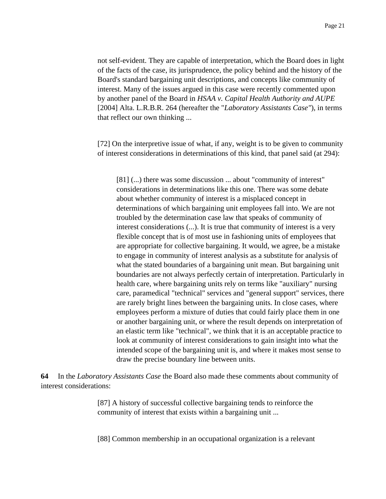not self-evident. They are capable of interpretation, which the Board does in light of the facts of the case, its jurisprudence, the policy behind and the history of the Board's standard bargaining unit descriptions, and concepts like community of interest. Many of the issues argued in this case were recently commented upon by another panel of the Board in *HSAA v. Capital Health Authority and AUPE* [2004] Alta. L.R.B.R. 264 (hereafter the "*Laboratory Assistants Case"*), in terms that reflect our own thinking ...

[72] On the interpretive issue of what, if any, weight is to be given to community of interest considerations in determinations of this kind, that panel said (at 294):

[81] (...) there was some discussion ... about "community of interest" considerations in determinations like this one. There was some debate about whether community of interest is a misplaced concept in determinations of which bargaining unit employees fall into. We are not troubled by the determination case law that speaks of community of interest considerations (...). It is true that community of interest is a very flexible concept that is of most use in fashioning units of employees that are appropriate for collective bargaining. It would, we agree, be a mistake to engage in community of interest analysis as a substitute for analysis of what the stated boundaries of a bargaining unit mean. But bargaining unit boundaries are not always perfectly certain of interpretation. Particularly in health care, where bargaining units rely on terms like "auxiliary" nursing care, paramedical "technical" services and "general support" services, there are rarely bright lines between the bargaining units. In close cases, where employees perform a mixture of duties that could fairly place them in one or another bargaining unit, or where the result depends on interpretation of an elastic term like "technical", we think that it is an acceptable practice to look at community of interest considerations to gain insight into what the intended scope of the bargaining unit is, and where it makes most sense to draw the precise boundary line between units.

**64** In the *Laboratory Assistants Case* the Board also made these comments about community of interest considerations:

> [87] A history of successful collective bargaining tends to reinforce the community of interest that exists within a bargaining unit ...

[88] Common membership in an occupational organization is a relevant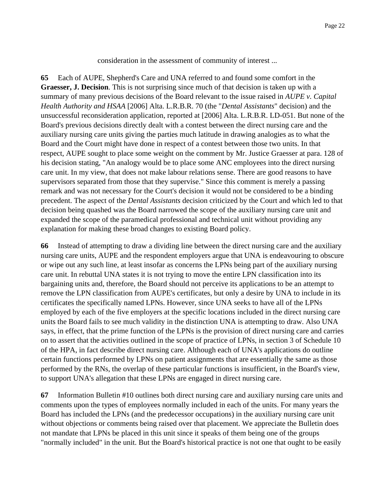consideration in the assessment of community of interest ...

**65** Each of AUPE, Shepherd's Care and UNA referred to and found some comfort in the **Graesser, J. Decision**. This is not surprising since much of that decision is taken up with a summary of many previous decisions of the Board relevant to the issue raised in *AUPE v. Capital Health Authority and HSAA* [2006] Alta. L.R.B.R. 70 (the "*Dental Assistants*" decision) and the unsuccessful reconsideration application, reported at [2006] Alta. L.R.B.R. LD-051. But none of the Board's previous decisions directly dealt with a contest between the direct nursing care and the auxiliary nursing care units giving the parties much latitude in drawing analogies as to what the Board and the Court might have done in respect of a contest between those two units. In that respect, AUPE sought to place some weight on the comment by Mr. Justice Graesser at para. 128 of his decision stating, "An analogy would be to place some ANC employees into the direct nursing care unit. In my view, that does not make labour relations sense. There are good reasons to have supervisors separated from those that they supervise." Since this comment is merely a passing remark and was not necessary for the Court's decision it would not be considered to be a binding precedent. The aspect of the *Dental Assistants* decision criticized by the Court and which led to that decision being quashed was the Board narrowed the scope of the auxiliary nursing care unit and expanded the scope of the paramedical professional and technical unit without providing any explanation for making these broad changes to existing Board policy.

**66** Instead of attempting to draw a dividing line between the direct nursing care and the auxiliary nursing care units, AUPE and the respondent employers argue that UNA is endeavouring to obscure or wipe out any such line, at least insofar as concerns the LPNs being part of the auxiliary nursing care unit. In rebuttal UNA states it is not trying to move the entire LPN classification into its bargaining units and, therefore, the Board should not perceive its applications to be an attempt to remove the LPN classification from AUPE's certificates, but only a desire by UNA to include in its certificates the specifically named LPNs. However, since UNA seeks to have all of the LPNs employed by each of the five employers at the specific locations included in the direct nursing care units the Board fails to see much validity in the distinction UNA is attempting to draw. Also UNA says, in effect, that the prime function of the LPNs is the provision of direct nursing care and carries on to assert that the activities outlined in the scope of practice of LPNs, in section 3 of Schedule 10 of the HPA, in fact describe direct nursing care. Although each of UNA's applications do outline certain functions performed by LPNs on patient assignments that are essentially the same as those performed by the RNs, the overlap of these particular functions is insufficient, in the Board's view, to support UNA's allegation that these LPNs are engaged in direct nursing care.

**67** Information Bulletin #10 outlines both direct nursing care and auxiliary nursing care units and comments upon the types of employees normally included in each of the units. For many years the Board has included the LPNs (and the predecessor occupations) in the auxiliary nursing care unit without objections or comments being raised over that placement. We appreciate the Bulletin does not mandate that LPNs be placed in this unit since it speaks of them being one of the groups "normally included" in the unit. But the Board's historical practice is not one that ought to be easily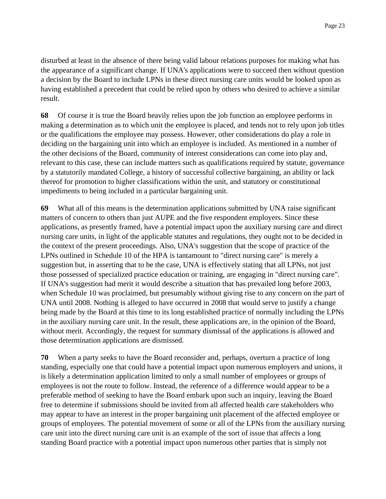disturbed at least in the absence of there being valid labour relations purposes for making what has the appearance of a significant change. If UNA's applications were to succeed then without question a decision by the Board to include LPNs in these direct nursing care units would be looked upon as having established a precedent that could be relied upon by others who desired to achieve a similar result.

**68** Of course it is true the Board heavily relies upon the job function an employee performs in making a determination as to which unit the employee is placed, and tends not to rely upon job titles or the qualifications the employee may possess. However, other considerations do play a role in deciding on the bargaining unit into which an employee is included. As mentioned in a number of the other decisions of the Board, community of interest considerations can come into play and, relevant to this case, these can include matters such as qualifications required by statute, governance by a statutorily mandated College, a history of successful collective bargaining, an ability or lack thereof for promotion to higher classifications within the unit, and statutory or constitutional impediments to being included in a particular bargaining unit.

**69** What all of this means is the determination applications submitted by UNA raise significant matters of concern to others than just AUPE and the five respondent employers. Since these applications, as presently framed, have a potential impact upon the auxiliary nursing care and direct nursing care units, in light of the applicable statutes and regulations, they ought not to be decided in the context of the present proceedings. Also, UNA's suggestion that the scope of practice of the LPNs outlined in Schedule 10 of the HPA is tantamount to "direct nursing care" is merely a suggestion but, in asserting that to be the case, UNA is effectively stating that all LPNs, not just those possessed of specialized practice education or training, are engaging in "direct nursing care". If UNA's suggestion had merit it would describe a situation that has prevailed long before 2003, when Schedule 10 was proclaimed, but presumably without giving rise to any concern on the part of UNA until 2008. Nothing is alleged to have occurred in 2008 that would serve to justify a change being made by the Board at this time to its long established practice of normally including the LPNs in the auxiliary nursing care unit. In the result, these applications are, in the opinion of the Board, without merit. Accordingly, the request for summary dismissal of the applications is allowed and those determination applications are dismissed.

**70** When a party seeks to have the Board reconsider and, perhaps, overturn a practice of long standing, especially one that could have a potential impact upon numerous employers and unions, it is likely a determination application limited to only a small number of employees or groups of employees is not the route to follow. Instead, the reference of a difference would appear to be a preferable method of seeking to have the Board embark upon such an inquiry, leaving the Board free to determine if submissions should be invited from all affected health care stakeholders who may appear to have an interest in the proper bargaining unit placement of the affected employee or groups of employees. The potential movement of some or all of the LPNs from the auxiliary nursing care unit into the direct nursing care unit is an example of the sort of issue that affects a long standing Board practice with a potential impact upon numerous other parties that is simply not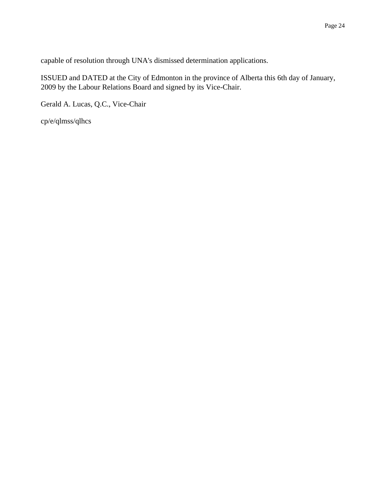capable of resolution through UNA's dismissed determination applications.

ISSUED and DATED at the City of Edmonton in the province of Alberta this 6th day of January, 2009 by the Labour Relations Board and signed by its Vice-Chair.

Gerald A. Lucas, Q.C., Vice-Chair

cp/e/qlmss/qlhcs